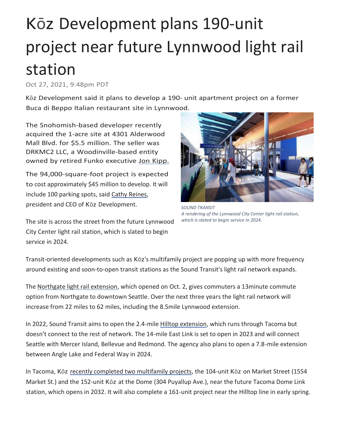## Kōz Development plans 190-unit project near future Lynnwood light rail station

Oct 27, 2021, 9:48pm PDT

Kōz Development said it plans to develop a 190- unit apartment project on a former Buca di Beppo Italian restaurant site in Lynnwood.

The Snohomish-based developer recently acquired the 1-acre site at 4301 Alderwood Mall Blvd. for \$5.5 million. The seller was DRKMC2 LLC, a Woodinville-based entity owned by retired Funko executive Jon Kipp.

The 94,000-square-foot project is expected to cost approximately \$45 million to develop. It will include 100 parking spots, said [Cathy Reines,](https://www.bizjournals.com/seattle/search/results?q=Cathy%20Reines) president and CEO of Kōz Development.

The site is across the street from the future Lynnwood City Center light rail station, which is slated to begin service in 2024.



*SOUND TRANSIT A rendering of the Lynnwood City Center light rail station, which is slated to begin service in 2024.*

Transit-oriented developments such as Kōz's multifamily project are popping up with more frequency around existing and soon-to-open transit stations as the Sound Transit's light rail network expands.

The [Northgate light rail extension,](https://www.bizjournals.com/seattle/news/2021/10/01/northgate-light-rail-extension-opens.html) which opened on Oct. 2, gives commuters a 13minute commute option from Northgate to downtown Seattle. Over the next three years the light rail network will increase from 22 miles to 62 miles, including the 8.5mile Lynnwood extension.

In 2022, Sound Transit aims to open the 2.4-mile [Hilltop extension,](https://www.bizjournals.com/seattle/news/2021/04/09/northgate-link-extension-date-set.html) which runs through Tacoma but doesn't connect to the rest of network. The 14-mile East Link is set to open in 2023 and will connect Seattle with Mercer Island, Bellevue and Redmond. The agency also plans to open a 7.8-mile extension between Angle Lake and Federal Way in 2024.

In Tacoma, Kōz [recently completed two multifamily projects,](https://www.bizjournals.com/seattle/news/2021/09/28/koz-development-set-to-complete-hilltop-building-i.html) the 104-unit Kōz on Market Street (1554 Market St.) and the 152-unit Kōz at the Dome (304 Puyallup Ave.), near the future Tacoma Dome Link station, which opens in 2032. It will also complete a 161-unit project near the Hilltop line in early spring.